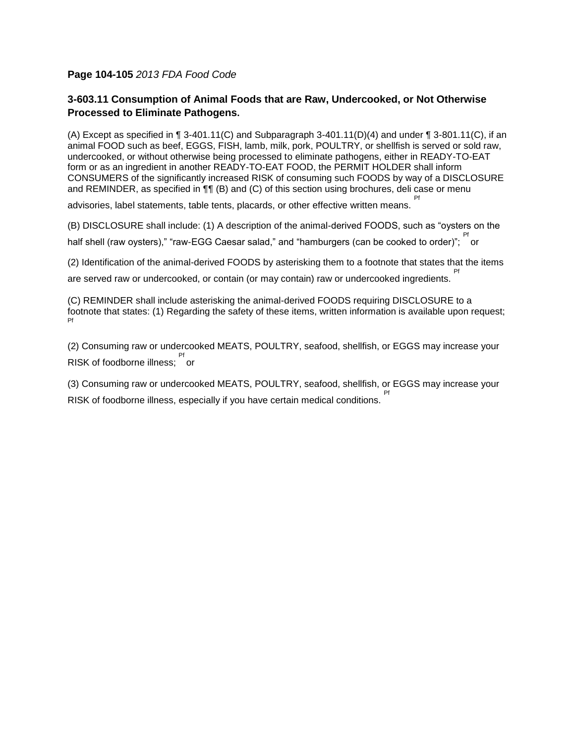## **Page 104-105** *2013 FDA Food Code*

## **3-603.11 Consumption of Animal Foods that are Raw, Undercooked, or Not Otherwise Processed to Eliminate Pathogens.**

(A) Except as specified in ¶ 3-401.11(C) and Subparagraph 3-401.11(D)(4) and under ¶ 3-801.11(C), if an animal FOOD such as beef, EGGS, FISH, lamb, milk, pork, POULTRY, or shellfish is served or sold raw, undercooked, or without otherwise being processed to eliminate pathogens, either in READY-TO-EAT form or as an ingredient in another READY-TO-EAT FOOD, the PERMIT HOLDER shall inform CONSUMERS of the significantly increased RISK of consuming such FOODS by way of a DISCLOSURE and REMINDER, as specified in  $\P\P$  (B) and (C) of this section using brochures, deli case or menu Pf

advisories, label statements, table tents, placards, or other effective written means.

(B) DISCLOSURE shall include: (1) A description of the animal-derived FOODS, such as "oysters on the half shell (raw oysters)," "raw-EGG Caesar salad," and "hamburgers (can be cooked to order)"; <sup>Pf</sup>

(2) Identification of the animal-derived FOODS by asterisking them to a footnote that states that the items

are served raw or undercooked, or contain (or may contain) raw or undercooked ingredients. Pf

(C) REMINDER shall include asterisking the animal-derived FOODS requiring DISCLOSURE to a footnote that states: (1) Regarding the safety of these items, written information is available upon request; Pf

(2) Consuming raw or undercooked MEATS, POULTRY, seafood, shellfish, or EGGS may increase your <sup>Pf</sup><br>RISK of foodborne illness; or

(3) Consuming raw or undercooked MEATS, POULTRY, seafood, shellfish, or EGGS may increase your RISK of foodborne illness, especially if you have certain medical conditions. Pf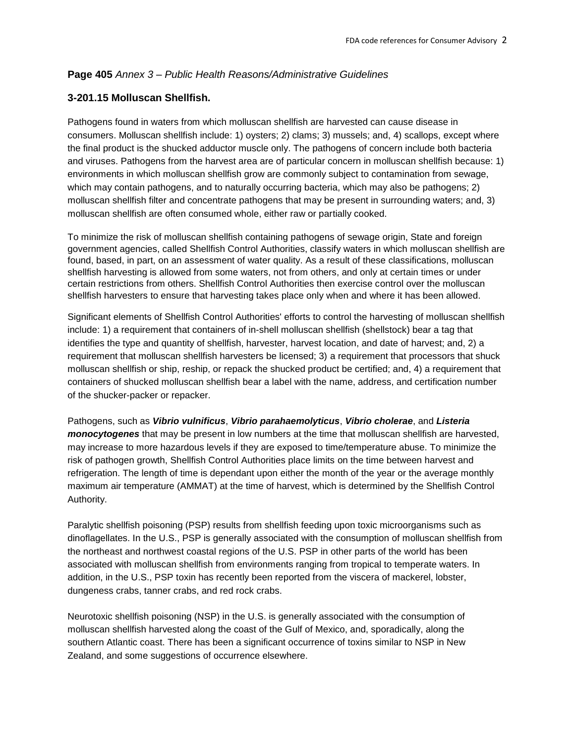## **Page 405** *Annex 3 – Public Health Reasons/Administrative Guidelines*

## **3-201.15 Molluscan Shellfish.**

Pathogens found in waters from which molluscan shellfish are harvested can cause disease in consumers. Molluscan shellfish include: 1) oysters; 2) clams; 3) mussels; and, 4) scallops, except where the final product is the shucked adductor muscle only. The pathogens of concern include both bacteria and viruses. Pathogens from the harvest area are of particular concern in molluscan shellfish because: 1) environments in which molluscan shellfish grow are commonly subject to contamination from sewage, which may contain pathogens, and to naturally occurring bacteria, which may also be pathogens; 2) molluscan shellfish filter and concentrate pathogens that may be present in surrounding waters; and, 3) molluscan shellfish are often consumed whole, either raw or partially cooked.

To minimize the risk of molluscan shellfish containing pathogens of sewage origin, State and foreign government agencies, called Shellfish Control Authorities, classify waters in which molluscan shellfish are found, based, in part, on an assessment of water quality. As a result of these classifications, molluscan shellfish harvesting is allowed from some waters, not from others, and only at certain times or under certain restrictions from others. Shellfish Control Authorities then exercise control over the molluscan shellfish harvesters to ensure that harvesting takes place only when and where it has been allowed.

Significant elements of Shellfish Control Authorities' efforts to control the harvesting of molluscan shellfish include: 1) a requirement that containers of in-shell molluscan shellfish (shellstock) bear a tag that identifies the type and quantity of shellfish, harvester, harvest location, and date of harvest; and, 2) a requirement that molluscan shellfish harvesters be licensed; 3) a requirement that processors that shuck molluscan shellfish or ship, reship, or repack the shucked product be certified; and, 4) a requirement that containers of shucked molluscan shellfish bear a label with the name, address, and certification number of the shucker-packer or repacker.

Pathogens, such as *Vibrio vulnificus*, *Vibrio parahaemolyticus*, *Vibrio cholerae*, and *Listeria monocytogenes* that may be present in low numbers at the time that molluscan shellfish are harvested, may increase to more hazardous levels if they are exposed to time/temperature abuse. To minimize the risk of pathogen growth, Shellfish Control Authorities place limits on the time between harvest and refrigeration. The length of time is dependant upon either the month of the year or the average monthly maximum air temperature (AMMAT) at the time of harvest, which is determined by the Shellfish Control Authority.

Paralytic shellfish poisoning (PSP) results from shellfish feeding upon toxic microorganisms such as dinoflagellates. In the U.S., PSP is generally associated with the consumption of molluscan shellfish from the northeast and northwest coastal regions of the U.S. PSP in other parts of the world has been associated with molluscan shellfish from environments ranging from tropical to temperate waters. In addition, in the U.S., PSP toxin has recently been reported from the viscera of mackerel, lobster, dungeness crabs, tanner crabs, and red rock crabs.

Neurotoxic shellfish poisoning (NSP) in the U.S. is generally associated with the consumption of molluscan shellfish harvested along the coast of the Gulf of Mexico, and, sporadically, along the southern Atlantic coast. There has been a significant occurrence of toxins similar to NSP in New Zealand, and some suggestions of occurrence elsewhere.